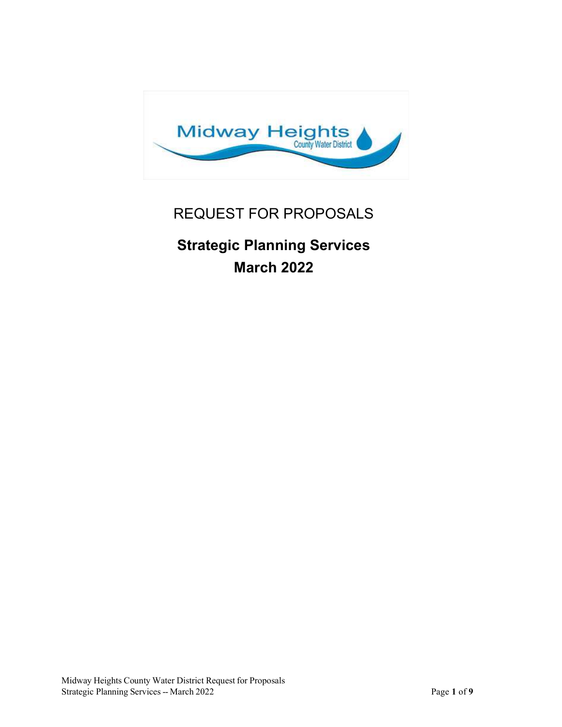

# REQUEST FOR PROPOSALS

# Strategic Planning Services March 2022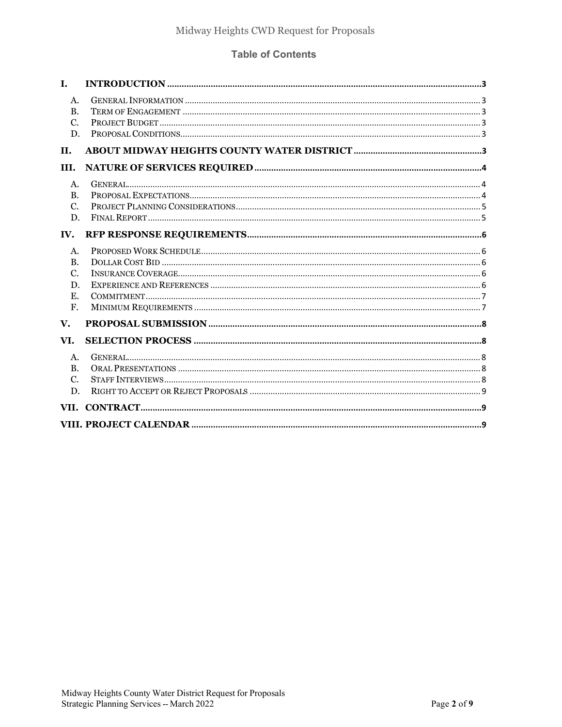#### **Table of Contents**

| I.             |  |
|----------------|--|
| A.             |  |
| <b>B.</b>      |  |
| C.             |  |
| D.             |  |
| <b>II.</b>     |  |
| III.           |  |
| A <sub>1</sub> |  |
| $\mathbf{B}$ . |  |
| C.             |  |
| D.             |  |
| IV.            |  |
| A.             |  |
| $\mathbf{B}$ . |  |
| C.             |  |
| D.             |  |
| E.             |  |
| F.             |  |
| V.             |  |
| VI.            |  |
| A.             |  |
| $\mathbf{B}$ . |  |
| $\mathcal{C}$  |  |
| D.             |  |
|                |  |
| VII.           |  |
|                |  |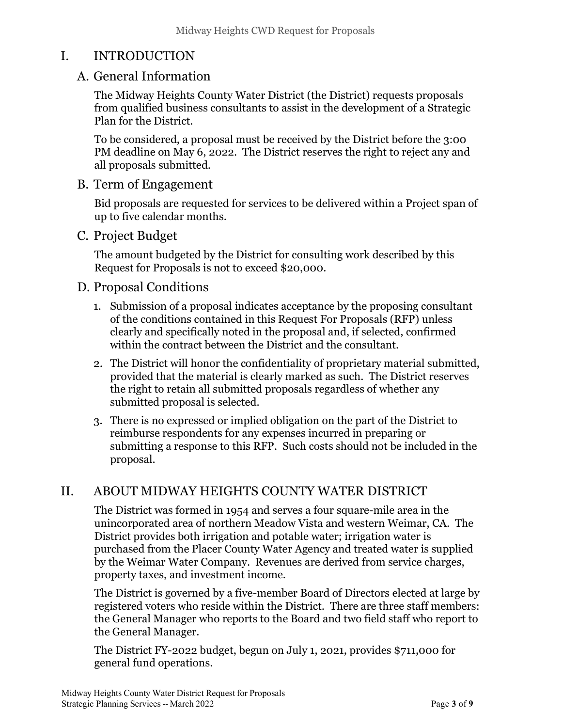## I. INTRODUCTION

### A. General Information

The Midway Heights County Water District (the District) requests proposals from qualified business consultants to assist in the development of a Strategic Plan for the District.

To be considered, a proposal must be received by the District before the 3:00 PM deadline on May 6, 2022. The District reserves the right to reject any and all proposals submitted.

#### B. Term of Engagement

Bid proposals are requested for services to be delivered within a Project span of up to five calendar months.

#### C. Project Budget

The amount budgeted by the District for consulting work described by this Request for Proposals is not to exceed \$20,000.

#### D. Proposal Conditions

- 1. Submission of a proposal indicates acceptance by the proposing consultant of the conditions contained in this Request For Proposals (RFP) unless clearly and specifically noted in the proposal and, if selected, confirmed within the contract between the District and the consultant.
- 2. The District will honor the confidentiality of proprietary material submitted, provided that the material is clearly marked as such. The District reserves the right to retain all submitted proposals regardless of whether any submitted proposal is selected.
- 3. There is no expressed or implied obligation on the part of the District to reimburse respondents for any expenses incurred in preparing or submitting a response to this RFP. Such costs should not be included in the proposal.

## II. ABOUT MIDWAY HEIGHTS COUNTY WATER DISTRICT

The District was formed in 1954 and serves a four square-mile area in the unincorporated area of northern Meadow Vista and western Weimar, CA. The District provides both irrigation and potable water; irrigation water is purchased from the Placer County Water Agency and treated water is supplied by the Weimar Water Company. Revenues are derived from service charges, property taxes, and investment income.

The District is governed by a five-member Board of Directors elected at large by registered voters who reside within the District. There are three staff members: the General Manager who reports to the Board and two field staff who report to the General Manager.

The District FY-2022 budget, begun on July 1, 2021, provides \$711,000 for general fund operations.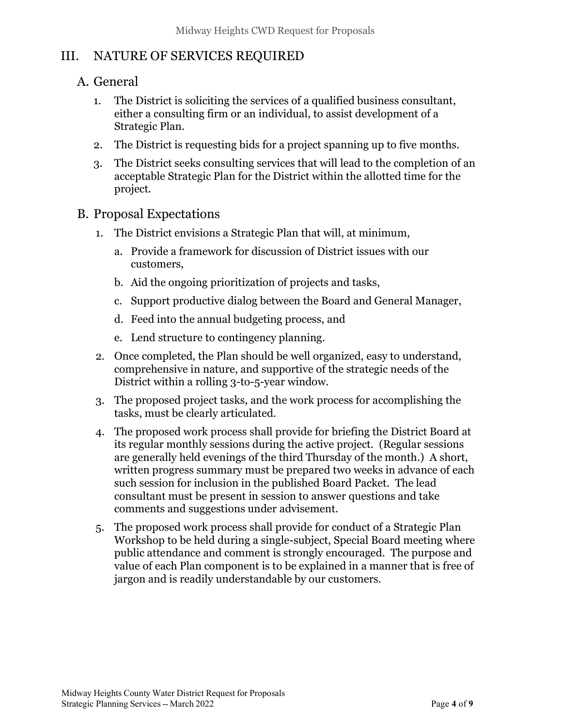## III. NATURE OF SERVICES REQUIRED

### A. General

- 1. The District is soliciting the services of a qualified business consultant, either a consulting firm or an individual, to assist development of a Strategic Plan.
- 2. The District is requesting bids for a project spanning up to five months.
- 3. The District seeks consulting services that will lead to the completion of an acceptable Strategic Plan for the District within the allotted time for the project.
- B. Proposal Expectations
	- 1. The District envisions a Strategic Plan that will, at minimum,
		- a. Provide a framework for discussion of District issues with our customers,
		- b. Aid the ongoing prioritization of projects and tasks,
		- c. Support productive dialog between the Board and General Manager,
		- d. Feed into the annual budgeting process, and
		- e. Lend structure to contingency planning.
	- 2. Once completed, the Plan should be well organized, easy to understand, comprehensive in nature, and supportive of the strategic needs of the District within a rolling 3-to-5-year window.
	- 3. The proposed project tasks, and the work process for accomplishing the tasks, must be clearly articulated.
	- 4. The proposed work process shall provide for briefing the District Board at its regular monthly sessions during the active project. (Regular sessions are generally held evenings of the third Thursday of the month.) A short, written progress summary must be prepared two weeks in advance of each such session for inclusion in the published Board Packet. The lead consultant must be present in session to answer questions and take comments and suggestions under advisement.
	- 5. The proposed work process shall provide for conduct of a Strategic Plan Workshop to be held during a single-subject, Special Board meeting where public attendance and comment is strongly encouraged. The purpose and value of each Plan component is to be explained in a manner that is free of jargon and is readily understandable by our customers.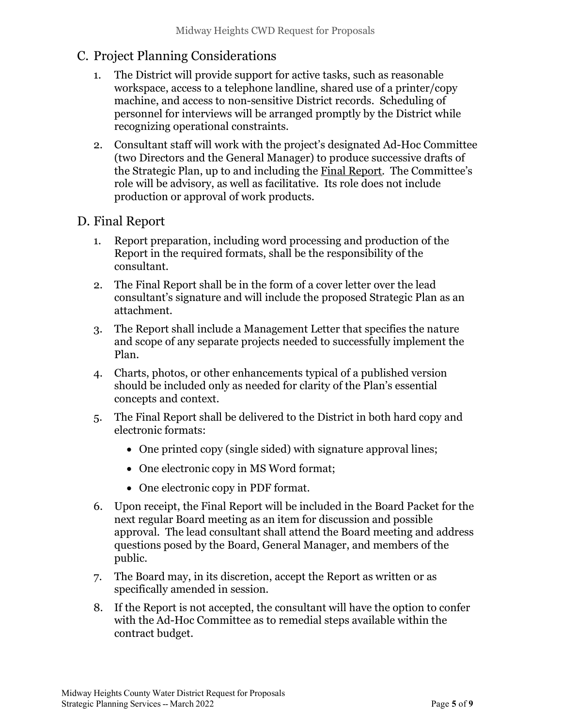## C. Project Planning Considerations

- 1. The District will provide support for active tasks, such as reasonable workspace, access to a telephone landline, shared use of a printer/copy machine, and access to non-sensitive District records. Scheduling of personnel for interviews will be arranged promptly by the District while recognizing operational constraints.
- 2. Consultant staff will work with the project's designated Ad-Hoc Committee (two Directors and the General Manager) to produce successive drafts of the Strategic Plan, up to and including the Final Report. The Committee's role will be advisory, as well as facilitative. Its role does not include production or approval of work products.

## D. Final Report

- 1. Report preparation, including word processing and production of the Report in the required formats, shall be the responsibility of the consultant.
- 2. The Final Report shall be in the form of a cover letter over the lead consultant's signature and will include the proposed Strategic Plan as an attachment.
- 3. The Report shall include a Management Letter that specifies the nature and scope of any separate projects needed to successfully implement the Plan.
- 4. Charts, photos, or other enhancements typical of a published version should be included only as needed for clarity of the Plan's essential concepts and context.
- 5. The Final Report shall be delivered to the District in both hard copy and electronic formats:
	- One printed copy (single sided) with signature approval lines;
	- One electronic copy in MS Word format;
	- One electronic copy in PDF format.
- 6. Upon receipt, the Final Report will be included in the Board Packet for the next regular Board meeting as an item for discussion and possible approval. The lead consultant shall attend the Board meeting and address questions posed by the Board, General Manager, and members of the public.
- 7. The Board may, in its discretion, accept the Report as written or as specifically amended in session.
- 8. If the Report is not accepted, the consultant will have the option to confer with the Ad-Hoc Committee as to remedial steps available within the contract budget.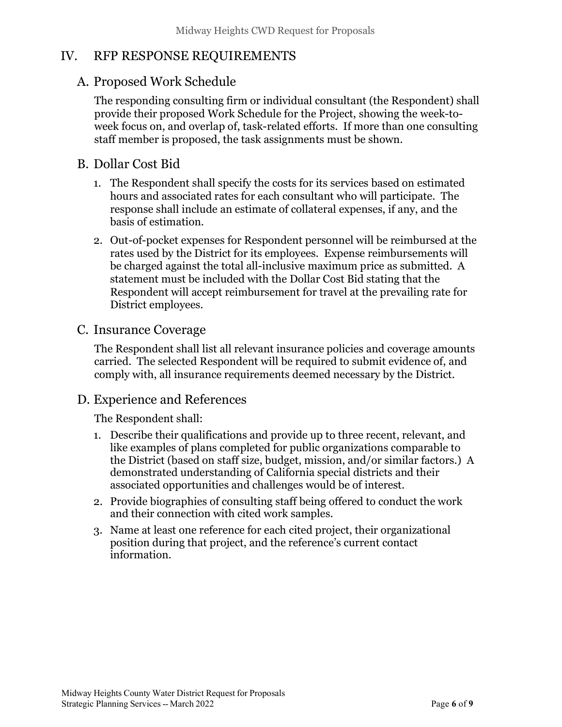## IV. RFP RESPONSE REQUIREMENTS

## A. Proposed Work Schedule

The responding consulting firm or individual consultant (the Respondent) shall provide their proposed Work Schedule for the Project, showing the week-toweek focus on, and overlap of, task-related efforts. If more than one consulting staff member is proposed, the task assignments must be shown.

### B. Dollar Cost Bid

- 1. The Respondent shall specify the costs for its services based on estimated hours and associated rates for each consultant who will participate. The response shall include an estimate of collateral expenses, if any, and the basis of estimation.
- 2. Out-of-pocket expenses for Respondent personnel will be reimbursed at the rates used by the District for its employees. Expense reimbursements will be charged against the total all-inclusive maximum price as submitted. A statement must be included with the Dollar Cost Bid stating that the Respondent will accept reimbursement for travel at the prevailing rate for District employees.

#### C. Insurance Coverage

The Respondent shall list all relevant insurance policies and coverage amounts carried. The selected Respondent will be required to submit evidence of, and comply with, all insurance requirements deemed necessary by the District.

#### D. Experience and References

The Respondent shall:

- 1. Describe their qualifications and provide up to three recent, relevant, and like examples of plans completed for public organizations comparable to the District (based on staff size, budget, mission, and/or similar factors.) A demonstrated understanding of California special districts and their associated opportunities and challenges would be of interest.
- 2. Provide biographies of consulting staff being offered to conduct the work and their connection with cited work samples.
- 3. Name at least one reference for each cited project, their organizational position during that project, and the reference's current contact information.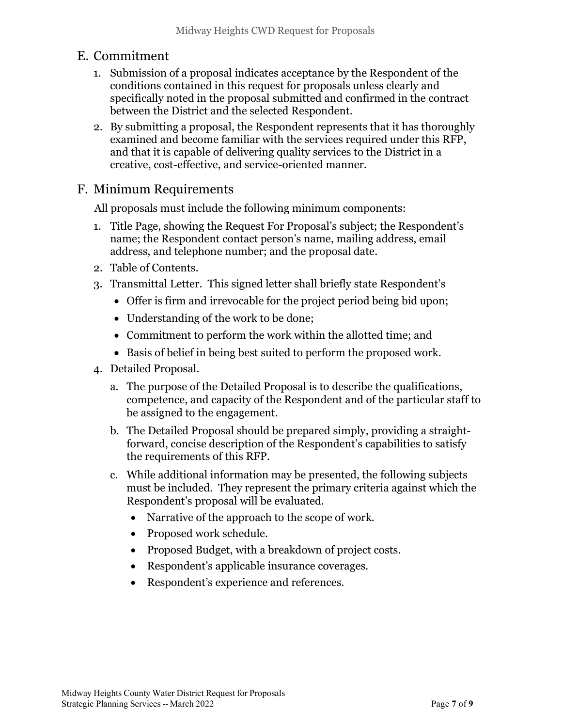#### E. Commitment

- 1. Submission of a proposal indicates acceptance by the Respondent of the conditions contained in this request for proposals unless clearly and specifically noted in the proposal submitted and confirmed in the contract between the District and the selected Respondent.
- 2. By submitting a proposal, the Respondent represents that it has thoroughly examined and become familiar with the services required under this RFP, and that it is capable of delivering quality services to the District in a creative, cost-effective, and service-oriented manner.

#### F. Minimum Requirements

All proposals must include the following minimum components:

- 1. Title Page, showing the Request For Proposal's subject; the Respondent's name; the Respondent contact person's name, mailing address, email address, and telephone number; and the proposal date.
- 2. Table of Contents.
- 3. Transmittal Letter. This signed letter shall briefly state Respondent's
	- Offer is firm and irrevocable for the project period being bid upon;
	- Understanding of the work to be done;
	- Commitment to perform the work within the allotted time; and
	- Basis of belief in being best suited to perform the proposed work.
- 4. Detailed Proposal.
	- a. The purpose of the Detailed Proposal is to describe the qualifications, competence, and capacity of the Respondent and of the particular staff to be assigned to the engagement.
	- b. The Detailed Proposal should be prepared simply, providing a straightforward, concise description of the Respondent's capabilities to satisfy the requirements of this RFP.
	- c. While additional information may be presented, the following subjects must be included. They represent the primary criteria against which the Respondent's proposal will be evaluated.
		- Narrative of the approach to the scope of work.
		- Proposed work schedule.
		- Proposed Budget, with a breakdown of project costs.
		- Respondent's applicable insurance coverages.
		- Respondent's experience and references.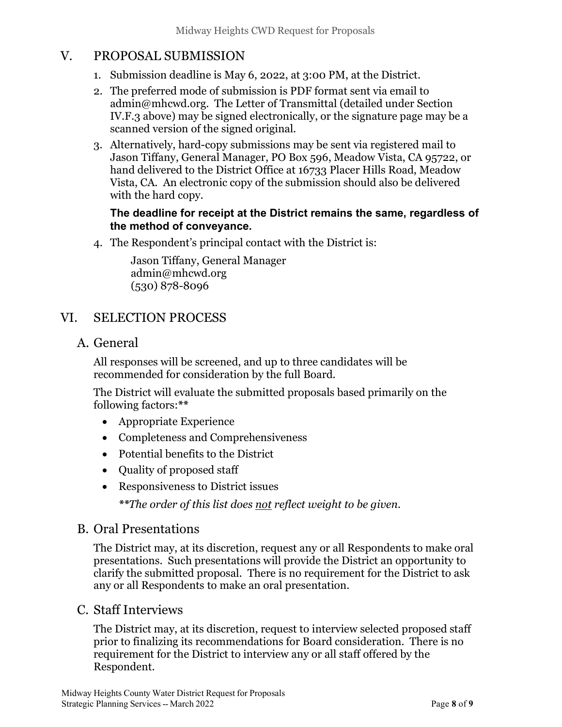## V. PROPOSAL SUBMISSION

- 1. Submission deadline is May 6, 2022, at 3:00 PM, at the District.
- 2. The preferred mode of submission is PDF format sent via email to admin@mhcwd.org. The Letter of Transmittal (detailed under Section IV.F.3 above) may be signed electronically, or the signature page may be a scanned version of the signed original.
- 3. Alternatively, hard-copy submissions may be sent via registered mail to Jason Tiffany, General Manager, PO Box 596, Meadow Vista, CA 95722, or hand delivered to the District Office at 16733 Placer Hills Road, Meadow Vista, CA. An electronic copy of the submission should also be delivered with the hard copy.

#### The deadline for receipt at the District remains the same, regardless of the method of conveyance.

4. The Respondent's principal contact with the District is:

Jason Tiffany, General Manager admin@mhcwd.org (530) 878-8096

## VI. SELECTION PROCESS

A. General

All responses will be screened, and up to three candidates will be recommended for consideration by the full Board.

The District will evaluate the submitted proposals based primarily on the following factors:\*\*

- Appropriate Experience
- Completeness and Comprehensiveness
- Potential benefits to the District
- Quality of proposed staff
- Responsiveness to District issues

\*\*The order of this list does <u>not</u> reflect weight to be given.

#### B. Oral Presentations

The District may, at its discretion, request any or all Respondents to make oral presentations. Such presentations will provide the District an opportunity to clarify the submitted proposal. There is no requirement for the District to ask any or all Respondents to make an oral presentation.

#### C. Staff Interviews

The District may, at its discretion, request to interview selected proposed staff prior to finalizing its recommendations for Board consideration. There is no requirement for the District to interview any or all staff offered by the Respondent.